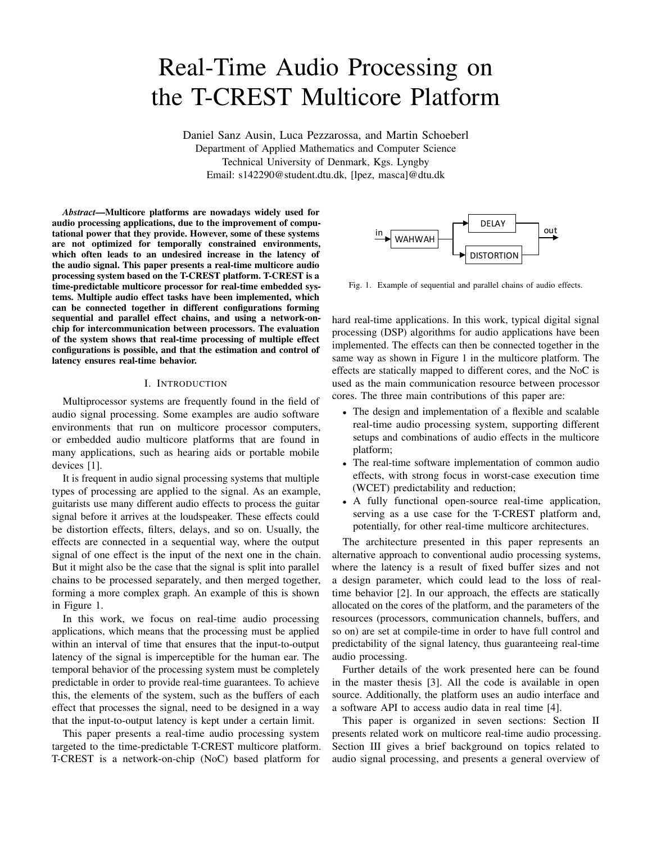# Real-Time Audio Processing on the T-CREST Multicore Platform

Daniel Sanz Ausin, Luca Pezzarossa, and Martin Schoeberl Department of Applied Mathematics and Computer Science Technical University of Denmark, Kgs. Lyngby Email: s142290@student.dtu.dk, [lpez, masca]@dtu.dk

*Abstract*—Multicore platforms are nowadays widely used for audio processing applications, due to the improvement of computational power that they provide. However, some of these systems are not optimized for temporally constrained environments, which often leads to an undesired increase in the latency of the audio signal. This paper presents a real-time multicore audio processing system based on the T-CREST platform. T-CREST is a time-predictable multicore processor for real-time embedded systems. Multiple audio effect tasks have been implemented, which can be connected together in different configurations forming sequential and parallel effect chains, and using a network-onchip for intercommunication between processors. The evaluation of the system shows that real-time processing of multiple effect configurations is possible, and that the estimation and control of latency ensures real-time behavior.

#### I. INTRODUCTION

Multiprocessor systems are frequently found in the field of audio signal processing. Some examples are audio software environments that run on multicore processor computers, or embedded audio multicore platforms that are found in many applications, such as hearing aids or portable mobile devices [1].

It is frequent in audio signal processing systems that multiple types of processing are applied to the signal. As an example, guitarists use many different audio effects to process the guitar signal before it arrives at the loudspeaker. These effects could be distortion effects, filters, delays, and so on. Usually, the effects are connected in a sequential way, where the output signal of one effect is the input of the next one in the chain. But it might also be the case that the signal is split into parallel chains to be processed separately, and then merged together, forming a more complex graph. An example of this is shown in Figure 1.

In this work, we focus on real-time audio processing applications, which means that the processing must be applied within an interval of time that ensures that the input-to-output latency of the signal is imperceptible for the human ear. The temporal behavior of the processing system must be completely predictable in order to provide real-time guarantees. To achieve this, the elements of the system, such as the buffers of each effect that processes the signal, need to be designed in a way that the input-to-output latency is kept under a certain limit.

This paper presents a real-time audio processing system targeted to the time-predictable T-CREST multicore platform. T-CREST is a network-on-chip (NoC) based platform for



Fig. 1. Example of sequential and parallel chains of audio effects.

hard real-time applications. In this work, typical digital signal processing (DSP) algorithms for audio applications have been implemented. The effects can then be connected together in the same way as shown in Figure 1 in the multicore platform. The effects are statically mapped to different cores, and the NoC is used as the main communication resource between processor cores. The three main contributions of this paper are:

- The design and implementation of a flexible and scalable real-time audio processing system, supporting different setups and combinations of audio effects in the multicore platform;
- The real-time software implementation of common audio effects, with strong focus in worst-case execution time (WCET) predictability and reduction;
- A fully functional open-source real-time application, serving as a use case for the T-CREST platform and, potentially, for other real-time multicore architectures.

The architecture presented in this paper represents an alternative approach to conventional audio processing systems, where the latency is a result of fixed buffer sizes and not a design parameter, which could lead to the loss of realtime behavior [2]. In our approach, the effects are statically allocated on the cores of the platform, and the parameters of the resources (processors, communication channels, buffers, and so on) are set at compile-time in order to have full control and predictability of the signal latency, thus guaranteeing real-time audio processing.

Further details of the work presented here can be found in the master thesis [3]. All the code is available in open source. Additionally, the platform uses an audio interface and a software API to access audio data in real time [4].

This paper is organized in seven sections: Section II presents related work on multicore real-time audio processing. Section III gives a brief background on topics related to audio signal processing, and presents a general overview of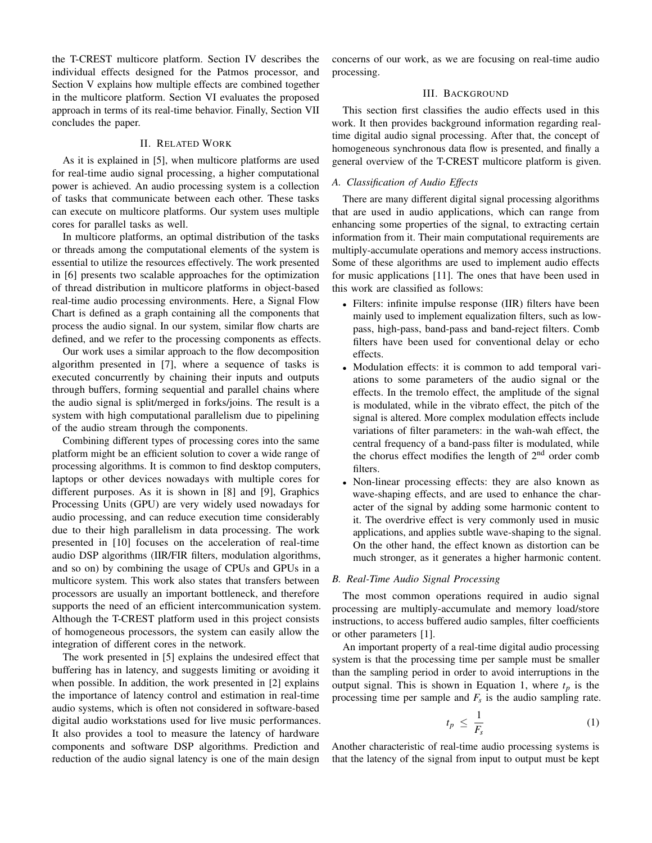the T-CREST multicore platform. Section IV describes the individual effects designed for the Patmos processor, and Section V explains how multiple effects are combined together in the multicore platform. Section VI evaluates the proposed approach in terms of its real-time behavior. Finally, Section VII concludes the paper.

# II. RELATED WORK

As it is explained in [5], when multicore platforms are used for real-time audio signal processing, a higher computational power is achieved. An audio processing system is a collection of tasks that communicate between each other. These tasks can execute on multicore platforms. Our system uses multiple cores for parallel tasks as well.

In multicore platforms, an optimal distribution of the tasks or threads among the computational elements of the system is essential to utilize the resources effectively. The work presented in [6] presents two scalable approaches for the optimization of thread distribution in multicore platforms in object-based real-time audio processing environments. Here, a Signal Flow Chart is defined as a graph containing all the components that process the audio signal. In our system, similar flow charts are defined, and we refer to the processing components as effects.

Our work uses a similar approach to the flow decomposition algorithm presented in [7], where a sequence of tasks is executed concurrently by chaining their inputs and outputs through buffers, forming sequential and parallel chains where the audio signal is split/merged in forks/joins. The result is a system with high computational parallelism due to pipelining of the audio stream through the components.

Combining different types of processing cores into the same platform might be an efficient solution to cover a wide range of processing algorithms. It is common to find desktop computers, laptops or other devices nowadays with multiple cores for different purposes. As it is shown in [8] and [9], Graphics Processing Units (GPU) are very widely used nowadays for audio processing, and can reduce execution time considerably due to their high parallelism in data processing. The work presented in [10] focuses on the acceleration of real-time audio DSP algorithms (IIR/FIR filters, modulation algorithms, and so on) by combining the usage of CPUs and GPUs in a multicore system. This work also states that transfers between processors are usually an important bottleneck, and therefore supports the need of an efficient intercommunication system. Although the T-CREST platform used in this project consists of homogeneous processors, the system can easily allow the integration of different cores in the network.

The work presented in [5] explains the undesired effect that buffering has in latency, and suggests limiting or avoiding it when possible. In addition, the work presented in [2] explains the importance of latency control and estimation in real-time audio systems, which is often not considered in software-based digital audio workstations used for live music performances. It also provides a tool to measure the latency of hardware components and software DSP algorithms. Prediction and reduction of the audio signal latency is one of the main design

concerns of our work, as we are focusing on real-time audio processing.

# III. BACKGROUND

This section first classifies the audio effects used in this work. It then provides background information regarding realtime digital audio signal processing. After that, the concept of homogeneous synchronous data flow is presented, and finally a general overview of the T-CREST multicore platform is given.

# *A. Classification of Audio Effects*

There are many different digital signal processing algorithms that are used in audio applications, which can range from enhancing some properties of the signal, to extracting certain information from it. Their main computational requirements are multiply-accumulate operations and memory access instructions. Some of these algorithms are used to implement audio effects for music applications [11]. The ones that have been used in this work are classified as follows:

- Filters: infinite impulse response (IIR) filters have been mainly used to implement equalization filters, such as lowpass, high-pass, band-pass and band-reject filters. Comb filters have been used for conventional delay or echo effects.
- Modulation effects: it is common to add temporal variations to some parameters of the audio signal or the effects. In the tremolo effect, the amplitude of the signal is modulated, while in the vibrato effect, the pitch of the signal is altered. More complex modulation effects include variations of filter parameters: in the wah-wah effect, the central frequency of a band-pass filter is modulated, while the chorus effect modifies the length of  $2<sup>nd</sup>$  order comb filters.
- Non-linear processing effects: they are also known as wave-shaping effects, and are used to enhance the character of the signal by adding some harmonic content to it. The overdrive effect is very commonly used in music applications, and applies subtle wave-shaping to the signal. On the other hand, the effect known as distortion can be much stronger, as it generates a higher harmonic content.

## *B. Real-Time Audio Signal Processing*

The most common operations required in audio signal processing are multiply-accumulate and memory load/store instructions, to access buffered audio samples, filter coefficients or other parameters [1].

An important property of a real-time digital audio processing system is that the processing time per sample must be smaller than the sampling period in order to avoid interruptions in the output signal. This is shown in Equation 1, where  $t_p$  is the processing time per sample and *F<sup>s</sup>* is the audio sampling rate.

$$
t_p \leq \frac{1}{F_s} \tag{1}
$$

Another characteristic of real-time audio processing systems is that the latency of the signal from input to output must be kept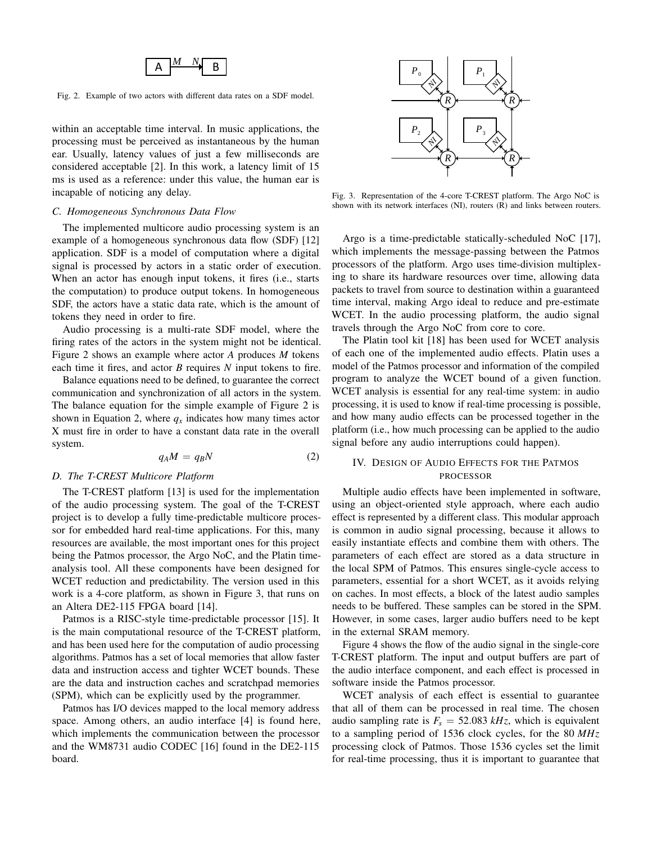

Fig. 2. Example of two actors with different data rates on a SDF model.

within an acceptable time interval. In music applications, the processing must be perceived as instantaneous by the human ear. Usually, latency values of just a few milliseconds are considered acceptable [2]. In this work, a latency limit of 15 ms is used as a reference: under this value, the human ear is incapable of noticing any delay.

#### *C. Homogeneous Synchronous Data Flow*

The implemented multicore audio processing system is an example of a homogeneous synchronous data flow (SDF) [12] application. SDF is a model of computation where a digital signal is processed by actors in a static order of execution. When an actor has enough input tokens, it fires (i.e., starts the computation) to produce output tokens. In homogeneous SDF, the actors have a static data rate, which is the amount of tokens they need in order to fire.

Audio processing is a multi-rate SDF model, where the firing rates of the actors in the system might not be identical. Figure 2 shows an example where actor *A* produces *M* tokens each time it fires, and actor *B* requires *N* input tokens to fire.

Balance equations need to be defined, to guarantee the correct communication and synchronization of all actors in the system. The balance equation for the simple example of Figure 2 is shown in Equation 2, where  $q_x$  indicates how many times actor X must fire in order to have a constant data rate in the overall system.

$$
q_A M = q_B N \tag{2}
$$

#### *D. The T-CREST Multicore Platform*

The T-CREST platform [13] is used for the implementation of the audio processing system. The goal of the T-CREST project is to develop a fully time-predictable multicore processor for embedded hard real-time applications. For this, many resources are available, the most important ones for this project being the Patmos processor, the Argo NoC, and the Platin timeanalysis tool. All these components have been designed for WCET reduction and predictability. The version used in this work is a 4-core platform, as shown in Figure 3, that runs on an Altera DE2-115 FPGA board [14].

Patmos is a RISC-style time-predictable processor [15]. It is the main computational resource of the T-CREST platform, and has been used here for the computation of audio processing algorithms. Patmos has a set of local memories that allow faster data and instruction access and tighter WCET bounds. These are the data and instruction caches and scratchpad memories (SPM), which can be explicitly used by the programmer.

Patmos has I/O devices mapped to the local memory address space. Among others, an audio interface [4] is found here, which implements the communication between the processor and the WM8731 audio CODEC [16] found in the DE2-115 board.



Fig. 3. Representation of the 4-core T-CREST platform. The Argo NoC is shown with its network interfaces (NI), routers (R) and links between routers.

Argo is a time-predictable statically-scheduled NoC [17], which implements the message-passing between the Patmos processors of the platform. Argo uses time-division multiplexing to share its hardware resources over time, allowing data packets to travel from source to destination within a guaranteed time interval, making Argo ideal to reduce and pre-estimate WCET. In the audio processing platform, the audio signal travels through the Argo NoC from core to core.

The Platin tool kit [18] has been used for WCET analysis of each one of the implemented audio effects. Platin uses a model of the Patmos processor and information of the compiled program to analyze the WCET bound of a given function. WCET analysis is essential for any real-time system: in audio processing, it is used to know if real-time processing is possible, and how many audio effects can be processed together in the platform (i.e., how much processing can be applied to the audio signal before any audio interruptions could happen).

# IV. DESIGN OF AUDIO EFFECTS FOR THE PATMOS PROCESSOR

Multiple audio effects have been implemented in software, using an object-oriented style approach, where each audio effect is represented by a different class. This modular approach is common in audio signal processing, because it allows to easily instantiate effects and combine them with others. The parameters of each effect are stored as a data structure in the local SPM of Patmos. This ensures single-cycle access to parameters, essential for a short WCET, as it avoids relying on caches. In most effects, a block of the latest audio samples needs to be buffered. These samples can be stored in the SPM. However, in some cases, larger audio buffers need to be kept in the external SRAM memory.

Figure 4 shows the flow of the audio signal in the single-core T-CREST platform. The input and output buffers are part of the audio interface component, and each effect is processed in software inside the Patmos processor.

WCET analysis of each effect is essential to guarantee that all of them can be processed in real time. The chosen audio sampling rate is  $F_s = 52.083 \, kHz$ , which is equivalent to a sampling period of 1536 clock cycles, for the 80 *MHz* processing clock of Patmos. Those 1536 cycles set the limit for real-time processing, thus it is important to guarantee that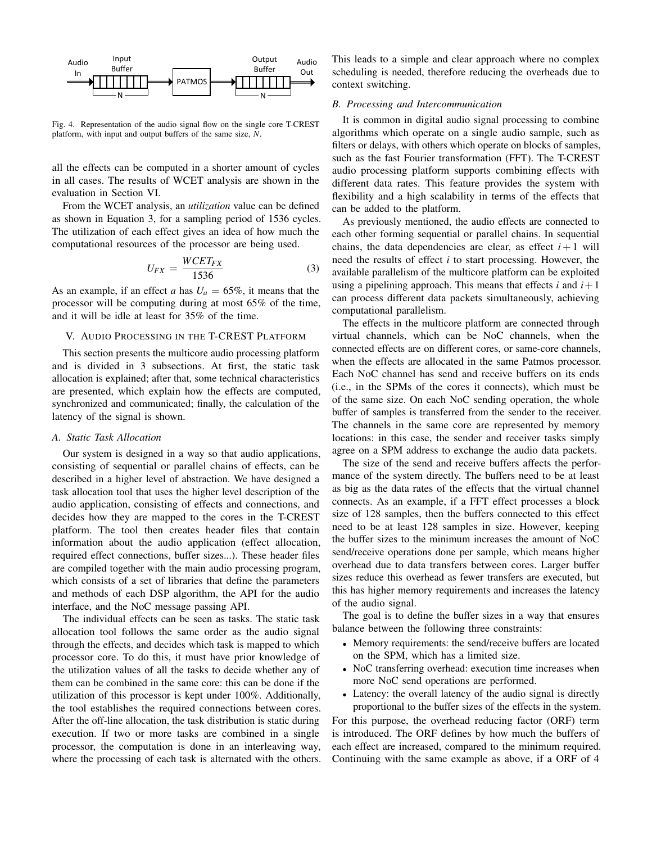

Fig. 4. Representation of the audio signal flow on the single core T-CREST platform, with input and output buffers of the same size, *N*.

all the effects can be computed in a shorter amount of cycles in all cases. The results of WCET analysis are shown in the evaluation in Section VI.

From the WCET analysis, an *utilization* value can be defined as shown in Equation 3, for a sampling period of 1536 cycles. The utilization of each effect gives an idea of how much the computational resources of the processor are being used.

$$
U_{FX} = \frac{WCET_{FX}}{1536} \tag{3}
$$

As an example, if an effect *a* has  $U_a = 65\%$ , it means that the processor will be computing during at most 65% of the time, and it will be idle at least for 35% of the time.

#### V. AUDIO PROCESSING IN THE T-CREST PLATFORM

This section presents the multicore audio processing platform and is divided in 3 subsections. At first, the static task allocation is explained; after that, some technical characteristics are presented, which explain how the effects are computed, synchronized and communicated; finally, the calculation of the latency of the signal is shown.

## *A. Static Task Allocation*

Our system is designed in a way so that audio applications, consisting of sequential or parallel chains of effects, can be described in a higher level of abstraction. We have designed a task allocation tool that uses the higher level description of the audio application, consisting of effects and connections, and decides how they are mapped to the cores in the T-CREST platform. The tool then creates header files that contain information about the audio application (effect allocation, required effect connections, buffer sizes...). These header files are compiled together with the main audio processing program, which consists of a set of libraries that define the parameters and methods of each DSP algorithm, the API for the audio interface, and the NoC message passing API.

The individual effects can be seen as tasks. The static task allocation tool follows the same order as the audio signal through the effects, and decides which task is mapped to which processor core. To do this, it must have prior knowledge of the utilization values of all the tasks to decide whether any of them can be combined in the same core: this can be done if the utilization of this processor is kept under 100%. Additionally, the tool establishes the required connections between cores. After the off-line allocation, the task distribution is static during execution. If two or more tasks are combined in a single processor, the computation is done in an interleaving way, where the processing of each task is alternated with the others. This leads to a simple and clear approach where no complex scheduling is needed, therefore reducing the overheads due to context switching.

## *B. Processing and Intercommunication*

It is common in digital audio signal processing to combine algorithms which operate on a single audio sample, such as filters or delays, with others which operate on blocks of samples, such as the fast Fourier transformation (FFT). The T-CREST audio processing platform supports combining effects with different data rates. This feature provides the system with flexibility and a high scalability in terms of the effects that can be added to the platform.

As previously mentioned, the audio effects are connected to each other forming sequential or parallel chains. In sequential chains, the data dependencies are clear, as effect  $i+1$  will need the results of effect *i* to start processing. However, the available parallelism of the multicore platform can be exploited using a pipelining approach. This means that effects  $i$  and  $i+1$ can process different data packets simultaneously, achieving computational parallelism.

The effects in the multicore platform are connected through virtual channels, which can be NoC channels, when the connected effects are on different cores, or same-core channels, when the effects are allocated in the same Patmos processor. Each NoC channel has send and receive buffers on its ends (i.e., in the SPMs of the cores it connects), which must be of the same size. On each NoC sending operation, the whole buffer of samples is transferred from the sender to the receiver. The channels in the same core are represented by memory locations: in this case, the sender and receiver tasks simply agree on a SPM address to exchange the audio data packets.

The size of the send and receive buffers affects the performance of the system directly. The buffers need to be at least as big as the data rates of the effects that the virtual channel connects. As an example, if a FFT effect processes a block size of 128 samples, then the buffers connected to this effect need to be at least 128 samples in size. However, keeping the buffer sizes to the minimum increases the amount of NoC send/receive operations done per sample, which means higher overhead due to data transfers between cores. Larger buffer sizes reduce this overhead as fewer transfers are executed, but this has higher memory requirements and increases the latency of the audio signal.

The goal is to define the buffer sizes in a way that ensures balance between the following three constraints:

- Memory requirements: the send/receive buffers are located on the SPM, which has a limited size.
- NoC transferring overhead: execution time increases when more NoC send operations are performed.
- Latency: the overall latency of the audio signal is directly proportional to the buffer sizes of the effects in the system.

For this purpose, the overhead reducing factor (ORF) term is introduced. The ORF defines by how much the buffers of each effect are increased, compared to the minimum required. Continuing with the same example as above, if a ORF of 4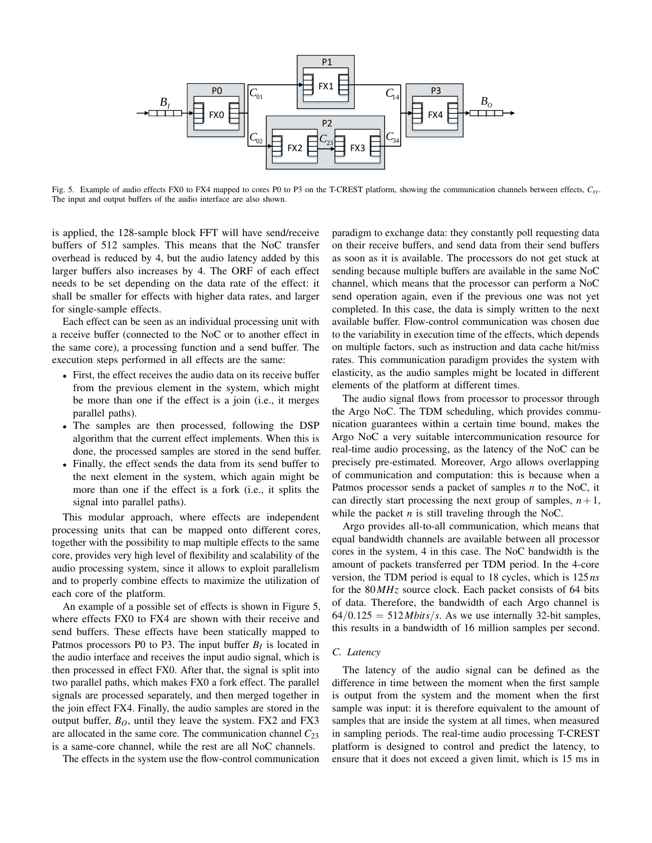

Fig. 5. Example of audio effects FX0 to FX4 mapped to cores P0 to P3 on the T-CREST platform, showing the communication channels between effects, *Cxy*. The input and output buffers of the audio interface are also shown.

is applied, the 128-sample block FFT will have send/receive buffers of 512 samples. This means that the NoC transfer overhead is reduced by 4, but the audio latency added by this larger buffers also increases by 4. The ORF of each effect needs to be set depending on the data rate of the effect: it shall be smaller for effects with higher data rates, and larger for single-sample effects.

Each effect can be seen as an individual processing unit with a receive buffer (connected to the NoC or to another effect in the same core), a processing function and a send buffer. The execution steps performed in all effects are the same:

- First, the effect receives the audio data on its receive buffer from the previous element in the system, which might be more than one if the effect is a join (i.e., it merges parallel paths).
- The samples are then processed, following the DSP algorithm that the current effect implements. When this is done, the processed samples are stored in the send buffer.
- Finally, the effect sends the data from its send buffer to the next element in the system, which again might be more than one if the effect is a fork (i.e., it splits the signal into parallel paths).

This modular approach, where effects are independent processing units that can be mapped onto different cores, together with the possibility to map multiple effects to the same core, provides very high level of flexibility and scalability of the audio processing system, since it allows to exploit parallelism and to properly combine effects to maximize the utilization of each core of the platform.

An example of a possible set of effects is shown in Figure 5, where effects FX0 to FX4 are shown with their receive and send buffers. These effects have been statically mapped to Patmos processors P0 to P3. The input buffer  $B_I$  is located in the audio interface and receives the input audio signal, which is then processed in effect FX0. After that, the signal is split into two parallel paths, which makes FX0 a fork effect. The parallel signals are processed separately, and then merged together in the join effect FX4. Finally, the audio samples are stored in the output buffer,  $B<sub>O</sub>$ , until they leave the system. FX2 and FX3 are allocated in the same core. The communication channel  $C_{23}$ is a same-core channel, while the rest are all NoC channels.

The effects in the system use the flow-control communication

paradigm to exchange data: they constantly poll requesting data on their receive buffers, and send data from their send buffers as soon as it is available. The processors do not get stuck at sending because multiple buffers are available in the same NoC channel, which means that the processor can perform a NoC send operation again, even if the previous one was not yet completed. In this case, the data is simply written to the next available buffer. Flow-control communication was chosen due to the variability in execution time of the effects, which depends on multiple factors, such as instruction and data cache hit/miss rates. This communication paradigm provides the system with elasticity, as the audio samples might be located in different elements of the platform at different times.

The audio signal flows from processor to processor through the Argo NoC. The TDM scheduling, which provides communication guarantees within a certain time bound, makes the Argo NoC a very suitable intercommunication resource for real-time audio processing, as the latency of the NoC can be precisely pre-estimated. Moreover, Argo allows overlapping of communication and computation: this is because when a Patmos processor sends a packet of samples *n* to the NoC, it can directly start processing the next group of samples,  $n+1$ , while the packet  $n$  is still traveling through the NoC.

Argo provides all-to-all communication, which means that equal bandwidth channels are available between all processor cores in the system, 4 in this case. The NoC bandwidth is the amount of packets transferred per TDM period. In the 4-core version, the TDM period is equal to 18 cycles, which is 125*ns* for the 80*MHz* source clock. Each packet consists of 64 bits of data. Therefore, the bandwidth of each Argo channel is  $64/0.125 = 512 \text{Mbits/s}$ . As we use internally 32-bit samples, this results in a bandwidth of 16 million samples per second.

## *C. Latency*

The latency of the audio signal can be defined as the difference in time between the moment when the first sample is output from the system and the moment when the first sample was input: it is therefore equivalent to the amount of samples that are inside the system at all times, when measured in sampling periods. The real-time audio processing T-CREST platform is designed to control and predict the latency, to ensure that it does not exceed a given limit, which is 15 ms in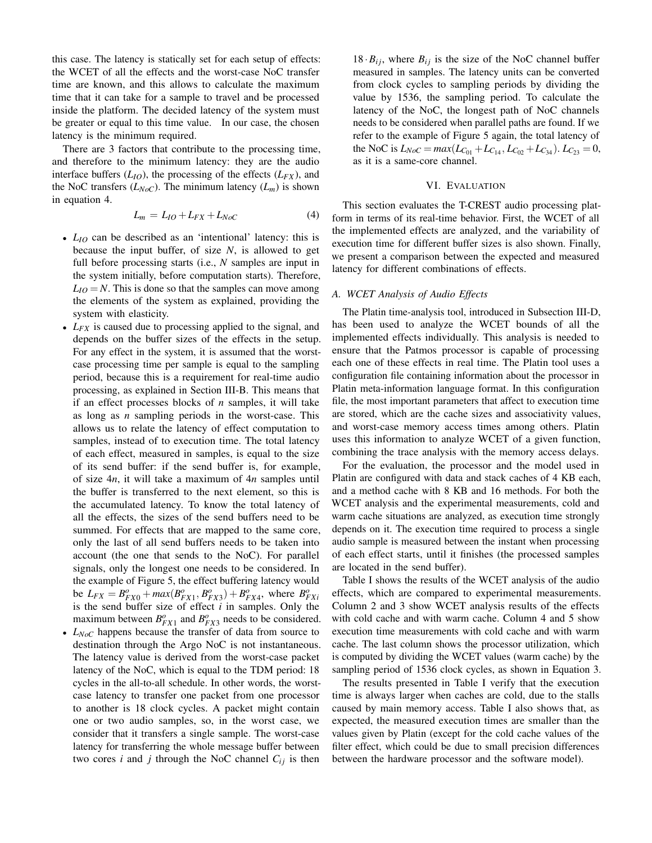this case. The latency is statically set for each setup of effects: the WCET of all the effects and the worst-case NoC transfer time are known, and this allows to calculate the maximum time that it can take for a sample to travel and be processed inside the platform. The decided latency of the system must be greater or equal to this time value. In our case, the chosen latency is the minimum required.

There are 3 factors that contribute to the processing time, and therefore to the minimum latency: they are the audio interface buffers  $(L_{IO})$ , the processing of the effects  $(L_{FX})$ , and the NoC transfers  $(L_{NoC})$ . The minimum latency  $(L_m)$  is shown in equation 4.

$$
L_m = L_{IO} + L_{FX} + L_{NoC} \tag{4}
$$

- *L*<sub>*IO*</sub> can be described as an 'intentional' latency: this is because the input buffer, of size *N*, is allowed to get full before processing starts (i.e., *N* samples are input in the system initially, before computation starts). Therefore,  $L_{IO} = N$ . This is done so that the samples can move among the elements of the system as explained, providing the system with elasticity.
- *LFX* is caused due to processing applied to the signal, and depends on the buffer sizes of the effects in the setup. For any effect in the system, it is assumed that the worstcase processing time per sample is equal to the sampling period, because this is a requirement for real-time audio processing, as explained in Section III-B. This means that if an effect processes blocks of *n* samples, it will take as long as *n* sampling periods in the worst-case. This allows us to relate the latency of effect computation to samples, instead of to execution time. The total latency of each effect, measured in samples, is equal to the size of its send buffer: if the send buffer is, for example, of size 4*n*, it will take a maximum of 4*n* samples until the buffer is transferred to the next element, so this is the accumulated latency. To know the total latency of all the effects, the sizes of the send buffers need to be summed. For effects that are mapped to the same core, only the last of all send buffers needs to be taken into account (the one that sends to the NoC). For parallel signals, only the longest one needs to be considered. In the example of Figure 5, the effect buffering latency would be  $L_{FX} = B_{FX0}^o + max(B_{FX1}^o, B_{FX3}^o) + B_{FX4}^o$ , where  $B_{FXi}^o$ is the send buffer size of effect *i* in samples. Only the maximum between  $B_{FX1}^o$  and  $B_{FX3}^o$  needs to be considered.
- *LNoC* happens because the transfer of data from source to destination through the Argo NoC is not instantaneous. The latency value is derived from the worst-case packet latency of the NoC, which is equal to the TDM period: 18 cycles in the all-to-all schedule. In other words, the worstcase latency to transfer one packet from one processor to another is 18 clock cycles. A packet might contain one or two audio samples, so, in the worst case, we consider that it transfers a single sample. The worst-case latency for transferring the whole message buffer between two cores *i* and *j* through the NoC channel  $C_{ij}$  is then

 $18 \cdot B_{ij}$ , where  $B_{ij}$  is the size of the NoC channel buffer measured in samples. The latency units can be converted from clock cycles to sampling periods by dividing the value by 1536, the sampling period. To calculate the latency of the NoC, the longest path of NoC channels needs to be considered when parallel paths are found. If we refer to the example of Figure 5 again, the total latency of the NoC is  $L_{NoC} = max(L_{C_{01}} + L_{C_{14}}, L_{C_{02}} + L_{C_{34}})$ .  $L_{C_{23}} = 0$ , as it is a same-core channel.

## VI. EVALUATION

This section evaluates the T-CREST audio processing platform in terms of its real-time behavior. First, the WCET of all the implemented effects are analyzed, and the variability of execution time for different buffer sizes is also shown. Finally, we present a comparison between the expected and measured latency for different combinations of effects.

#### *A. WCET Analysis of Audio Effects*

The Platin time-analysis tool, introduced in Subsection III-D, has been used to analyze the WCET bounds of all the implemented effects individually. This analysis is needed to ensure that the Patmos processor is capable of processing each one of these effects in real time. The Platin tool uses a configuration file containing information about the processor in Platin meta-information language format. In this configuration file, the most important parameters that affect to execution time are stored, which are the cache sizes and associativity values, and worst-case memory access times among others. Platin uses this information to analyze WCET of a given function, combining the trace analysis with the memory access delays.

For the evaluation, the processor and the model used in Platin are configured with data and stack caches of 4 KB each, and a method cache with 8 KB and 16 methods. For both the WCET analysis and the experimental measurements, cold and warm cache situations are analyzed, as execution time strongly depends on it. The execution time required to process a single audio sample is measured between the instant when processing of each effect starts, until it finishes (the processed samples are located in the send buffer).

Table I shows the results of the WCET analysis of the audio effects, which are compared to experimental measurements. Column 2 and 3 show WCET analysis results of the effects with cold cache and with warm cache. Column 4 and 5 show execution time measurements with cold cache and with warm cache. The last column shows the processor utilization, which is computed by dividing the WCET values (warm cache) by the sampling period of 1536 clock cycles, as shown in Equation 3.

The results presented in Table I verify that the execution time is always larger when caches are cold, due to the stalls caused by main memory access. Table I also shows that, as expected, the measured execution times are smaller than the values given by Platin (except for the cold cache values of the filter effect, which could be due to small precision differences between the hardware processor and the software model).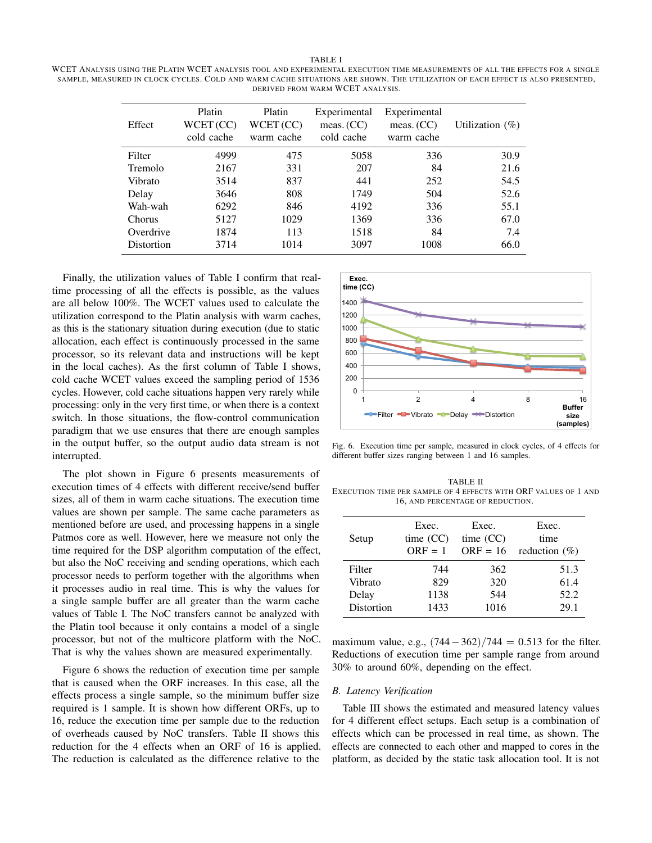TABLE I WCET ANALYSIS USING THE PLATIN WCET ANALYSIS TOOL AND EXPERIMENTAL EXECUTION TIME MEASUREMENTS OF ALL THE EFFECTS FOR A SINGLE SAMPLE, MEASURED IN CLOCK CYCLES. COLD AND WARM CACHE SITUATIONS ARE SHOWN. THE UTILIZATION OF EACH EFFECT IS ALSO PRESENTED, DERIVED FROM WARM WCET ANALYSIS.

| Effect         | Platin<br>WCET (CC)<br>cold cache | Platin<br>WCET (CC)<br>warm cache | Experimental<br>meas. $(CC)$<br>cold cache | Experimental<br>meas. $(CC)$<br>warm cache | Utilization $(\%)$ |
|----------------|-----------------------------------|-----------------------------------|--------------------------------------------|--------------------------------------------|--------------------|
| Filter         | 4999                              | 475                               | 5058                                       | 336                                        | 30.9               |
| <b>Tremolo</b> | 2167                              | 331                               | 207                                        | 84                                         | 21.6               |
| Vibrato        | 3514                              | 837                               | 441                                        | 252                                        | 54.5               |
| Delay          | 3646                              | 808                               | 1749                                       | 504                                        | 52.6               |
| Wah-wah        | 6292                              | 846                               | 4192                                       | 336                                        | 55.1               |
| Chorus         | 5127                              | 1029                              | 1369                                       | 336                                        | 67.0               |
| Overdrive      | 1874                              | 113                               | 1518                                       | 84                                         | 7.4                |
| Distortion     | 3714                              | 1014                              | 3097                                       | 1008                                       | 66.0               |

Finally, the utilization values of Table I confirm that realtime processing of all the effects is possible, as the values are all below 100%. The WCET values used to calculate the utilization correspond to the Platin analysis with warm caches, as this is the stationary situation during execution (due to static allocation, each effect is continuously processed in the same processor, so its relevant data and instructions will be kept in the local caches). As the first column of Table I shows, cold cache WCET values exceed the sampling period of 1536 cycles. However, cold cache situations happen very rarely while processing: only in the very first time, or when there is a context switch. In those situations, the flow-control communication paradigm that we use ensures that there are enough samples in the output buffer, so the output audio data stream is not interrupted.

The plot shown in Figure 6 presents measurements of execution times of 4 effects with different receive/send buffer sizes, all of them in warm cache situations. The execution time values are shown per sample. The same cache parameters as mentioned before are used, and processing happens in a single Patmos core as well. However, here we measure not only the time required for the DSP algorithm computation of the effect, but also the NoC receiving and sending operations, which each processor needs to perform together with the algorithms when it processes audio in real time. This is why the values for a single sample buffer are all greater than the warm cache values of Table I. The NoC transfers cannot be analyzed with the Platin tool because it only contains a model of a single processor, but not of the multicore platform with the NoC. That is why the values shown are measured experimentally.

Figure 6 shows the reduction of execution time per sample that is caused when the ORF increases. In this case, all the effects process a single sample, so the minimum buffer size required is 1 sample. It is shown how different ORFs, up to 16, reduce the execution time per sample due to the reduction of overheads caused by NoC transfers. Table II shows this reduction for the 4 effects when an ORF of 16 is applied. The reduction is calculated as the difference relative to the



Fig. 6. Execution time per sample, measured in clock cycles, of 4 effects for different buffer sizes ranging between 1 and 16 samples.

TABLE II EXECUTION TIME PER SAMPLE OF 4 EFFECTS WITH ORF VALUES OF 1 AND 16, AND PERCENTAGE OF REDUCTION.

|            | Exec.       | Exec.       | Exec.             |
|------------|-------------|-------------|-------------------|
| Setup      | time $(CC)$ | time $(CC)$ | time              |
|            | $ORF = 1$   | $ORF = 16$  | reduction $(\% )$ |
| Filter     | 744         | 362         | 51.3              |
| Vibrato    | 829         | 320         | 61.4              |
| Delay      | 1138        | 544         | 52.2              |
| Distortion | 1433        | 1016        | 29.1              |

maximum value, e.g.,  $(744-362)/744 = 0.513$  for the filter. Reductions of execution time per sample range from around 30% to around 60%, depending on the effect.

## *B. Latency Verification*

Table III shows the estimated and measured latency values for 4 different effect setups. Each setup is a combination of effects which can be processed in real time, as shown. The effects are connected to each other and mapped to cores in the platform, as decided by the static task allocation tool. It is not